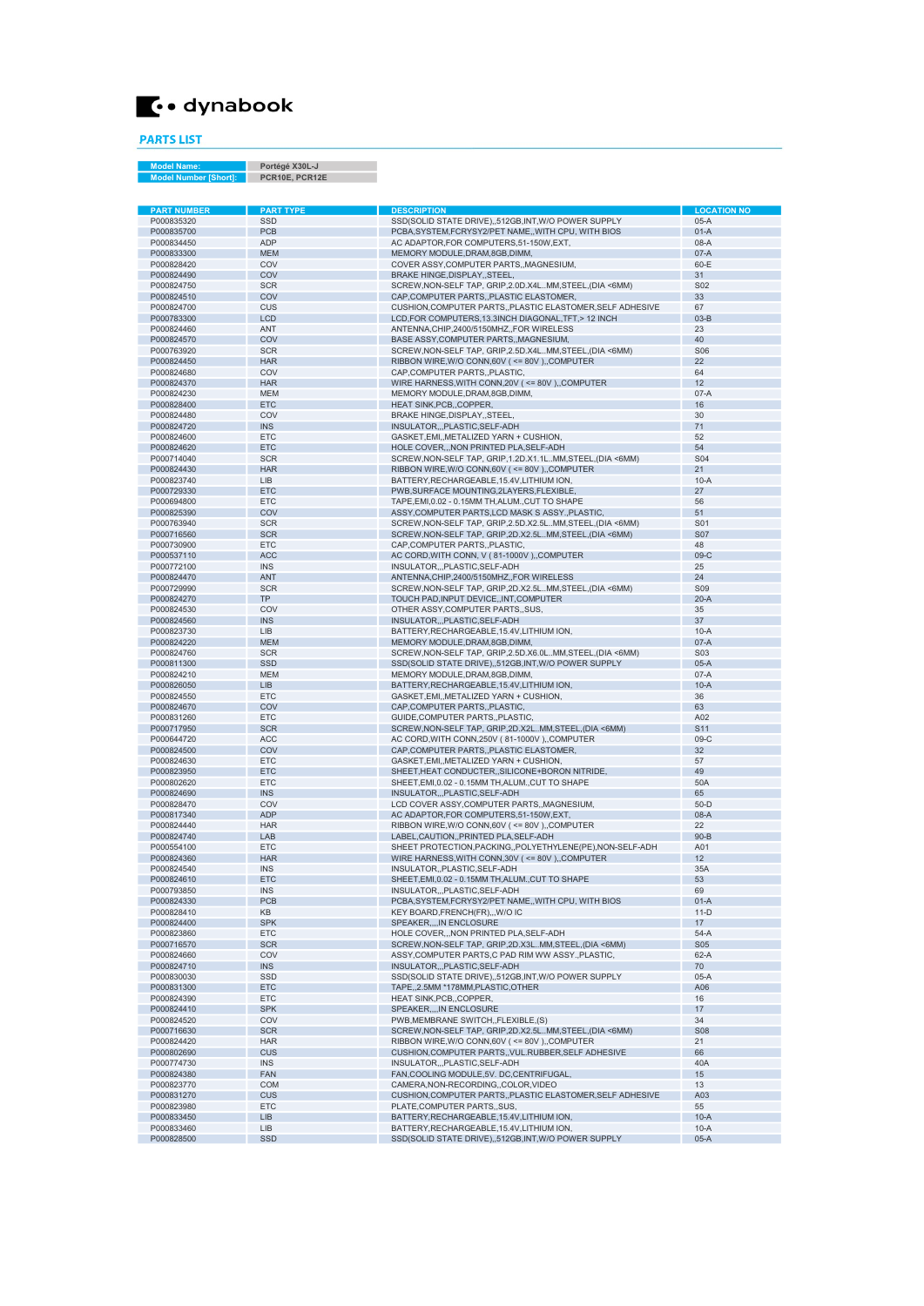

## PARTS LIST

Model Name: Portégé X30L-J Model Number [Short]: PCR10E, PCR12E

| <b>PART NUMBER</b>       | <b>PART TYPE</b>         | <b>DESCRIPTION</b>                                                                                                     | <b>LOCATION NO</b>    |
|--------------------------|--------------------------|------------------------------------------------------------------------------------------------------------------------|-----------------------|
| P000835320               | SSD                      | SSD(SOLID STATE DRIVE),,512GB,INT,W/O POWER SUPPLY                                                                     | $05-A$                |
| P000835700               | PCB                      | PCBA, SYSTEM, FCRYSY2/PET NAME,, WITH CPU, WITH BIOS                                                                   | $01-A$                |
| P000834450               | <b>ADP</b>               | AC ADAPTOR, FOR COMPUTERS, 51-150W, EXT,                                                                               | $08-A$                |
| P000833300               | <b>MEM</b>               | MEMORY MODULE, DRAM, 8GB, DIMM,                                                                                        | $07-A$                |
| P000828420               | COV                      | COVER ASSY, COMPUTER PARTS, MAGNESIUM,                                                                                 | 60-E                  |
| P000824490               | COV                      | BRAKE HINGE, DISPLAY, STEEL,                                                                                           | 31                    |
| P000824750<br>P000824510 | <b>SCR</b><br>COV        | SCREW, NON-SELF TAP, GRIP, 2.0D.X4LMM, STEEL, (DIA <6MM)<br>CAP, COMPUTER PARTS, PLASTIC ELASTOMER,                    | S <sub>02</sub><br>33 |
| P000824700               | CUS                      | CUSHION, COMPUTER PARTS, PLASTIC ELASTOMER, SELF ADHESIVE                                                              | 67                    |
| P000783300               | LCD                      | LCD, FOR COMPUTERS, 13.3INCH DIAGONAL, TFT, > 12 INCH                                                                  | $03-B$                |
| P000824460               | <b>ANT</b>               | ANTENNA, CHIP, 2400/5150MHZ, FOR WIRELESS                                                                              | 23                    |
| P000824570               | COV                      | BASE ASSY, COMPUTER PARTS, , MAGNESIUM,                                                                                | 40                    |
| P000763920               | <b>SCR</b>               | SCREW, NON-SELF TAP, GRIP, 2.5D.X4LMM, STEEL, (DIA <6MM)                                                               | S06                   |
| P000824450               | <b>HAR</b>               | RIBBON WIRE, W/O CONN, 60V (<= 80V), COMPUTER                                                                          | 22                    |
| P000824680               | COV                      | CAP, COMPUTER PARTS, PLASTIC,                                                                                          | 64                    |
| P000824370               | <b>HAR</b>               | WIRE HARNESS, WITH CONN, 20V ( <= 80V ), COMPUTER                                                                      | 12                    |
| P000824230               | <b>MEM</b>               | MEMORY MODULE, DRAM, 8GB, DIMM,                                                                                        | $07-A$                |
| P000828400               | <b>ETC</b>               | HEAT SINK, PCB, , COPPER,                                                                                              | 16                    |
| P000824480               | COV                      | BRAKE HINGE, DISPLAY, STEEL,                                                                                           | 30                    |
| P000824720               | <b>INS</b>               | INSULATOR,,,PLASTIC,SELF-ADH                                                                                           | 71                    |
| P000824600               | <b>ETC</b>               | GASKET, EMI, , METALIZED YARN + CUSHION,                                                                               | 52                    |
| P000824620               | <b>ETC</b>               | HOLE COVER,,,NON PRINTED PLA, SELF-ADH                                                                                 | 54                    |
| P000714040               | <b>SCR</b>               | SCREW, NON-SELF TAP, GRIP, 1.2D.X1.1LMM, STEEL, (DIA <6MM)                                                             | S04                   |
| P000824430               | <b>HAR</b>               | RIBBON WIRE, W/O CONN, 60V ( <= 80V ),, COMPUTER                                                                       | 21                    |
| P000823740               | LIB                      | BATTERY, RECHARGEABLE, 15.4V, LITHIUM ION,                                                                             | $10-A$                |
| P000729330               | <b>ETC</b>               | PWB.SURFACE MOUNTING.2LAYERS.FLEXIBLE.                                                                                 | 27                    |
| P000694800               | <b>ETC</b>               | TAPE, EMI, 0.02 - 0.15MM TH, ALUM., CUT TO SHAPE                                                                       | 56                    |
| P000825390               | COV<br><b>SCR</b>        | ASSY, COMPUTER PARTS, LCD MASK S ASSY., PLASTIC,                                                                       | 51<br>S01             |
| P000763940<br>P000716560 | <b>SCR</b>               | SCREW, NON-SELF TAP, GRIP, 2.5D.X2.5LMM, STEEL, (DIA <6MM)<br>SCREW, NON-SELF TAP, GRIP, 2D.X2.5LMM, STEEL, (DIA <6MM) | <b>S07</b>            |
| P000730900               | <b>ETC</b>               | CAP, COMPUTER PARTS, PLASTIC,                                                                                          | 48                    |
| P000537110               | <b>ACC</b>               | AC CORD, WITH CONN, V (81-1000V), COMPUTER                                                                             | $09-C$                |
| P000772100               | <b>INS</b>               | INSULATOR,  PLASTIC, SELF-ADH                                                                                          | 25                    |
| P000824470               | ANT                      | ANTENNA, CHIP, 2400/5150MHZ, FOR WIRELESS                                                                              | 24                    |
| P000729990               | <b>SCR</b>               | SCREW, NON-SELF TAP, GRIP, 2D.X2.5LMM, STEEL, (DIA <6MM)                                                               | <b>S09</b>            |
| P000824270               | <b>TP</b>                | TOUCH PAD, INPUT DEVICE, INT, COMPUTER                                                                                 | $20-A$                |
| P000824530               | COV                      | OTHER ASSY.COMPUTER PARTSSUS.                                                                                          | 35                    |
| P000824560               | <b>INS</b>               | INSULATOR,,,PLASTIC,SELF-ADH                                                                                           | 37                    |
| P000823730               | LIB                      | BATTERY, RECHARGEABLE, 15.4V, LITHIUM ION,                                                                             | $10-A$                |
| P000824220               | <b>MEM</b>               | MEMORY MODULE, DRAM, 8GB, DIMM,                                                                                        | $07-A$                |
| P000824760               | <b>SCR</b>               | SCREW, NON-SELF TAP, GRIP, 2.5D.X6.0LMM, STEEL, (DIA <6MM)                                                             | S <sub>0</sub> 3      |
| P000811300               | <b>SSD</b>               | SSD(SOLID STATE DRIVE), 512GB, INT, W/O POWER SUPPLY                                                                   | $05-A$                |
| P000824210               | <b>MEM</b>               | MEMORY MODULE, DRAM, 8GB, DIMM,                                                                                        | $07-A$                |
| P000826050               | <b>LIB</b>               | BATTERY, RECHARGEABLE, 15.4V, LITHIUM ION,                                                                             | $10-A$                |
| P000824550               | <b>ETC</b>               | GASKET, EMI, , METALIZED YARN + CUSHION,                                                                               | 36                    |
| P000824670               | COV                      | CAP, COMPUTER PARTS, PLASTIC,                                                                                          | 63                    |
| P000831260               | <b>ETC</b>               | GUIDE, COMPUTER PARTS, PLASTIC,                                                                                        | A02                   |
| P000717950               | <b>SCR</b>               | SCREW, NON-SELF TAP, GRIP, 2D.X2L. MM, STEEL, (DIA <6MM)                                                               | S <sub>11</sub>       |
| P000644720               | ACC                      | AC CORD, WITH CONN, 250V (81-1000V), COMPUTER                                                                          | 09-C                  |
| P000824500               | COV                      | CAP, COMPUTER PARTS, PLASTIC ELASTOMER,                                                                                | 32                    |
| P000824630               | <b>ETC</b>               | GASKET, EMI, METALIZED YARN + CUSHION,                                                                                 | 57<br>49              |
| P000823950<br>P000802620 | <b>ETC</b><br><b>ETC</b> | SHEET, HEAT CONDUCTER, SILICONE+BORON NITRIDE,<br>SHEET, EMI, 0.02 - 0.15MM TH, ALUM., CUT TO SHAPE                    | 50A                   |
| P000824690               | <b>INS</b>               | INSULATOR,,,PLASTIC,SELF-ADH                                                                                           | 65                    |
| P000828470               | COV                      | LCD COVER ASSY, COMPUTER PARTS, MAGNESIUM,                                                                             | $50-D$                |
| P000817340               | <b>ADP</b>               | AC ADAPTOR.FOR COMPUTERS.51-150W.EXT.                                                                                  | 08-A                  |
| P000824440               | <b>HAR</b>               | RIBBON WIRE, W/O CONN, 60V (<= 80V), COMPUTER                                                                          | 22                    |
| P000824740               | LAB                      | LABEL, CAUTION, PRINTED PLA, SELF-ADH                                                                                  | $90 - B$              |
| P000554100               | <b>ETC</b>               | SHEET PROTECTION, PACKING, POLYETHYLENE(PE), NON-SELF-ADH                                                              | A01                   |
| P000824360               | <b>HAR</b>               | WIRE HARNESS, WITH CONN, 30V ( <= 80V ), COMPUTER                                                                      | 12                    |
| P000824540               | <b>INS</b>               | INSULATOR, PLASTIC, SELF-ADH                                                                                           | 35A                   |
| P000824610               | <b>ETC</b>               | SHEET, EMI, 0.02 - 0.15MM TH, ALUM., CUT TO SHAPE                                                                      | 53                    |
| P000793850               | INS                      | INSULATOR,,,PLASTIC,SELF-ADH                                                                                           | 69                    |
| P000824330               | <b>PCB</b>               | PCBA, SYSTEM, FCRYSY2/PET NAME, WITH CPU, WITH BIOS                                                                    | $01-A$                |
| P000828410               | KB                       | KEY BOARD, FRENCH(FR),,, W/O IC                                                                                        | $11-D$                |
| P000824400               | <b>SPK</b>               | SPEAKER,,,,IN ENCLOSURE                                                                                                | 17                    |
| P000823860               | <b>ETC</b>               | HOLE COVERNON PRINTED PLA, SELF-ADH                                                                                    | $54-A$                |
| P000716570               | <b>SCR</b>               | SCREW, NON-SELF TAP, GRIP, 2D.X3LMM, STEEL, (DIA <6MM)                                                                 | <b>S05</b>            |
| P000824660               | COV                      | ASSY, COMPUTER PARTS, C PAD RIM WW ASSY., PLASTIC,                                                                     | $62-A$                |
| P000824710               | <b>INS</b>               | INSULATOR, , PLASTIC, SELF-ADH                                                                                         | 70                    |
| P000830030               | SSD                      | SSD(SOLID STATE DRIVE),,512GB,INT,W/O POWER SUPPLY                                                                     | $05-A$                |
| P000831300               | ETC                      | TAPE,,2.5MM *178MM,PLASTIC,OTHER                                                                                       | A06                   |
| P000824390               | <b>ETC</b>               | HEAT SINK, PCB, , COPPER,                                                                                              | 16                    |
| P000824410               | <b>SPK</b>               | SPEAKER,,,,IN ENCLOSURE                                                                                                | 17                    |
| P000824520               | COV<br><b>SCR</b>        | PWB, MEMBRANE SWITCH, , FLEXIBLE, (S)                                                                                  | 34<br><b>S08</b>      |
| P000716630               |                          | SCREW, NON-SELF TAP, GRIP, 2D.X2.5LMM, STEEL, (DIA <6MM)                                                               | 21                    |
| P000824420<br>P000802690 | <b>HAR</b><br><b>CUS</b> | RIBBON WIRE, W/O CONN, 60V ( <= 80V ),, COMPUTER<br>CUSHION, COMPUTER PARTS,, VUL. RUBBER, SELF ADHESIVE               | 66                    |
| P000774730               | <b>INS</b>               | INSULATOR,,,PLASTIC,SELF-ADH                                                                                           | 40A                   |
| P000824380               | FAN                      | FAN, COOLING MODULE, 5V. DC, CENTRIFUGAL,                                                                              | 15                    |
| P000823770               | <b>COM</b>               | CAMERA.NON-RECORDINGCOLOR.VIDEO                                                                                        | 13                    |
| P000831270               | <b>CUS</b>               | CUSHION, COMPUTER PARTS, PLASTIC ELASTOMER, SELF ADHESIVE                                                              | A03                   |
| P000823980               | <b>ETC</b>               | PLATE, COMPUTER PARTS, , SUS,                                                                                          | 55                    |
| P000833450               | <b>LIB</b>               | BATTERY, RECHARGEABLE, 15.4V, LITHIUM ION,                                                                             | $10-A$                |
| P000833460               | LIB                      | BATTERY, RECHARGEABLE, 15.4V, LITHIUM ION,                                                                             | $10-A$                |
| P000828500               | SSD                      | SSD(SOLID STATE DRIVE),,512GB,INT,W/O POWER SUPPLY                                                                     | $05-A$                |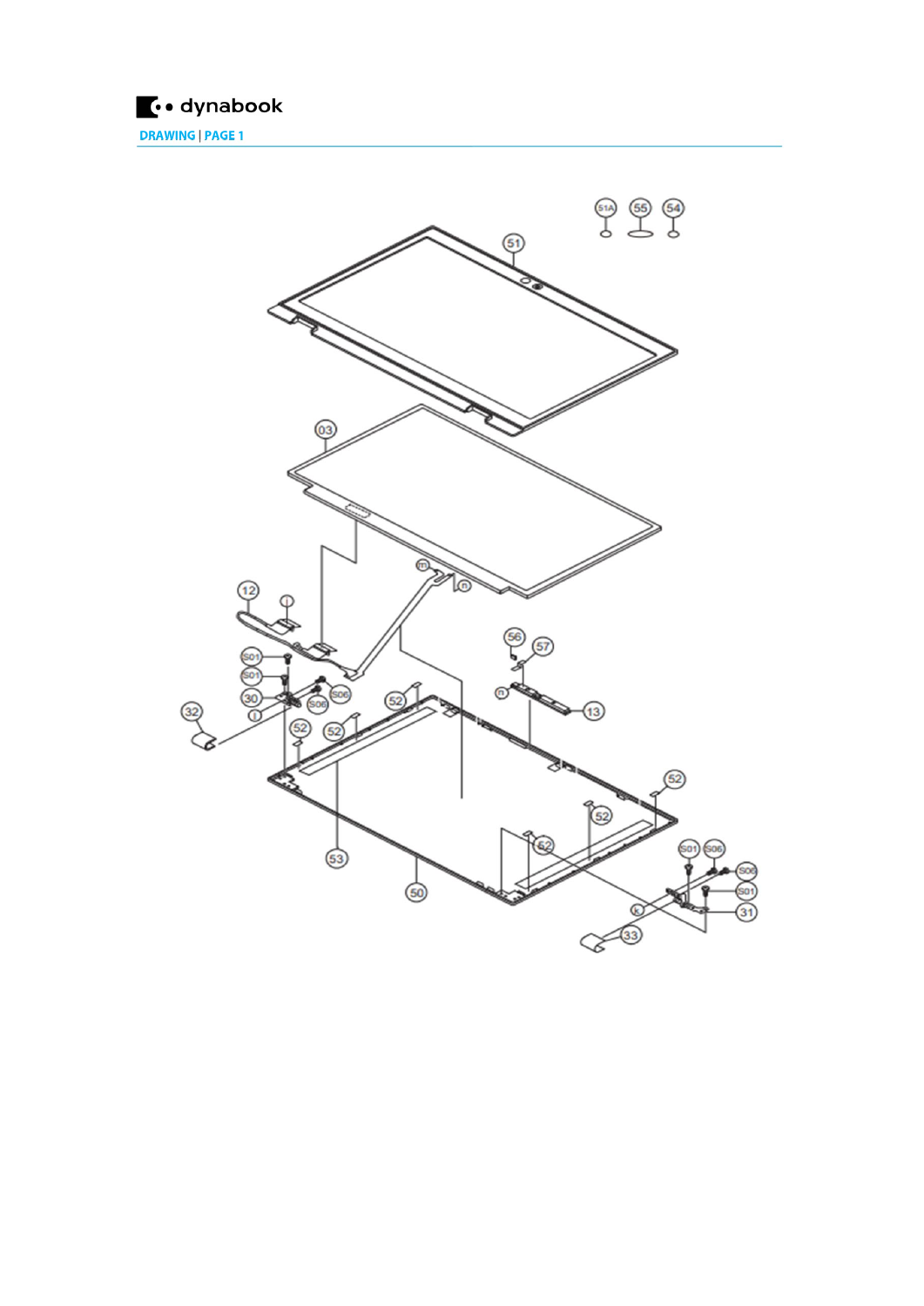

DRAWING | PAGE 1